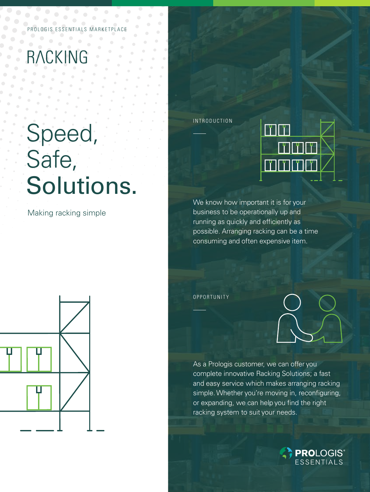ESSENTIALS MARKETPL

## RACKING

# Speed, Safe, Solutions.

Making racking simple



INTRODUCTION



We know how important it is for your business to be operationally up and running as quickly and efficiently as possible. Arranging racking can be a time consuming and often expensive item.

OPPORTUNITY



As a Prologis customer, we can offer you complete innovative Racking Solutions; a fast and easy service which makes arranging racking simple. Whether you're moving in, reconfiguring, or expanding, we can help you find the right racking system to suit your needs.